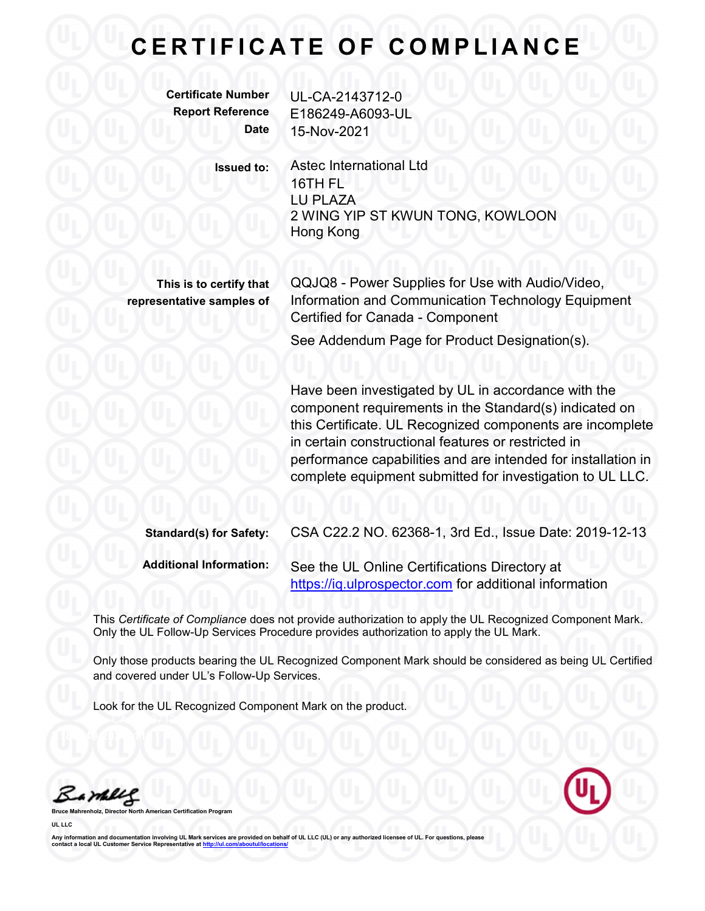Certificate Number UL-CA-2143712-0 Report Reference E186249-A6093-UL Date 15-Nov-2021

Issued to: Astec International Ltd 16TH FL LU PLAZA 2 WING YIP ST KWUN TONG, KOWLOON Hong Kong

This is to certify that representative samples of

QQJQ8 - Power Supplies for Use with Audio/Video, Information and Communication Technology Equipment Certified for Canada - Component See Addendum Page for Product Designation(s).

Have been investigated by UL in accordance with the component requirements in the Standard(s) indicated on this Certificate. UL Recognized components are incomplete in certain constructional features or restricted in performance capabilities and are intended for installation in complete equipment submitted for investigation to UL LLC.

| <b>Standard(s) for Safety:</b> | CSA C22.2 NO. 62368-1, 3rd Ed., Issue Date: 2019-12-13                                                  |
|--------------------------------|---------------------------------------------------------------------------------------------------------|
| <b>Additional Information:</b> | See the UL Online Certifications Directory at<br>https://iq.ulprospector.com for additional information |

This Certificate of Compliance does not provide authorization to apply the UL Recognized Component Mark. Only the UL Follow-Up Services Procedure provides authorization to apply the UL Mark.

Only those products bearing the UL Recognized Component Mark should be considered as being UL Certified and covered under UL's Follow-Up Services.

Look for the UL Recognized Component Mark on the product.

Bambles

UL LLC

Bruce Mahrenholz, Director North American Certification Program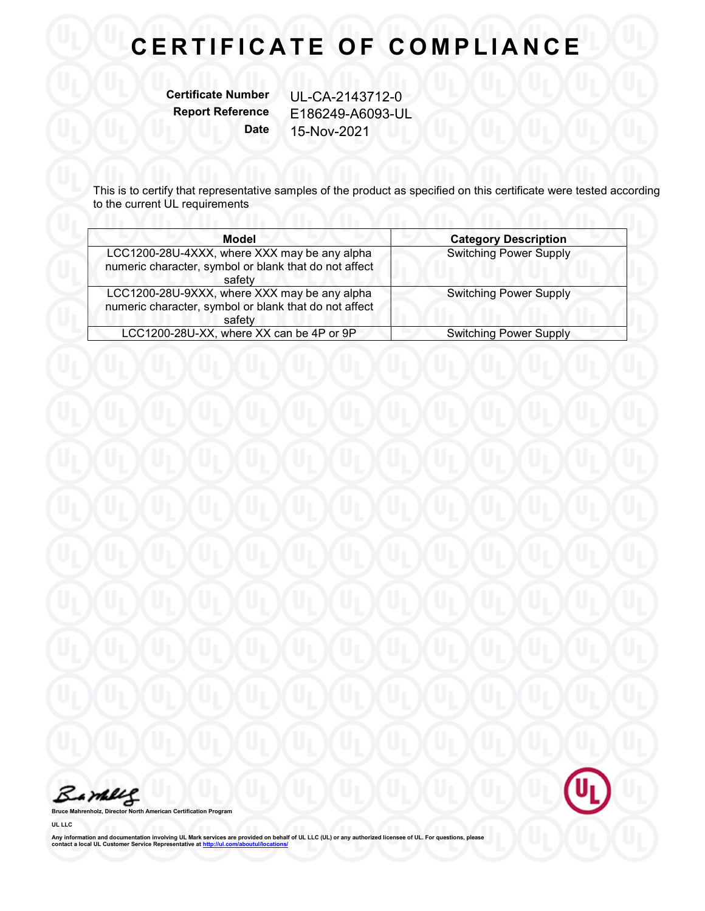Certificate Number UL-CA-2143712-0

Report Reference E186249-A6093-UL Date 15-Nov-2021

This is to certify that representative samples of the product as specified on this certificate were tested according to the current UL requirements

| Model                                                                                                           | <b>Category Description</b>   |  |
|-----------------------------------------------------------------------------------------------------------------|-------------------------------|--|
| LCC1200-28U-4XXX, where XXX may be any alpha<br>numeric character, symbol or blank that do not affect<br>safety | <b>Switching Power Supply</b> |  |
| LCC1200-28U-9XXX, where XXX may be any alpha<br>numeric character, symbol or blank that do not affect<br>safety | <b>Switching Power Supply</b> |  |
| LCC1200-28U-XX, where XX can be 4P or 9P                                                                        | <b>Switching Power Supply</b> |  |



Bruce Mahrenholz, Director North American Certification Program

UL LLC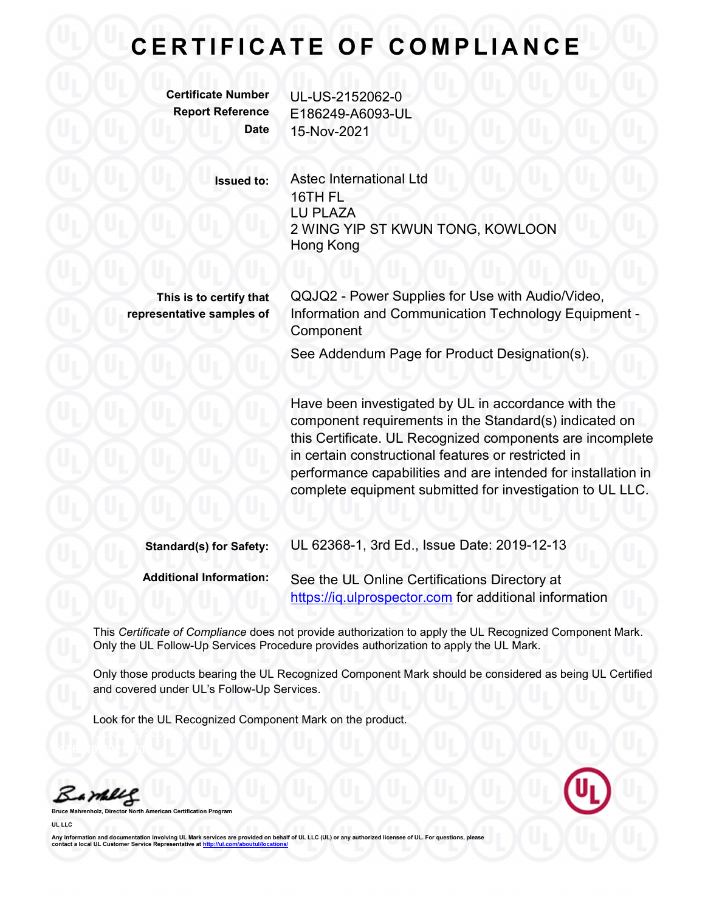Certificate Number UL-US-2152062-0 Report Reference E186249-A6093-UL Date 15-Nov-2021

> Issued to: Astec International Ltd 16TH FL LU PLAZA 2 WING YIP ST KWUN TONG, KOWLOON Hong Kong

This is to certify that representative samples of QQJQ2 - Power Supplies for Use with Audio/Video, Information and Communication Technology Equipment - Component

See Addendum Page for Product Designation(s).

Have been investigated by UL in accordance with the component requirements in the Standard(s) indicated on this Certificate. UL Recognized components are incomplete in certain constructional features or restricted in performance capabilities and are intended for installation in complete equipment submitted for investigation to UL LLC.

| <b>Standard(s) for Safety:</b> | UL 62368-1, 3rd Ed., Issue Date: 2019-12-13                                                             |
|--------------------------------|---------------------------------------------------------------------------------------------------------|
| <b>Additional Information:</b> | See the UL Online Certifications Directory at<br>https://iq.ulprospector.com for additional information |

This Certificate of Compliance does not provide authorization to apply the UL Recognized Component Mark. Only the UL Follow-Up Services Procedure provides authorization to apply the UL Mark.

Only those products bearing the UL Recognized Component Mark should be considered as being UL Certified and covered under UL's Follow-Up Services.

Look for the UL Recognized Component Mark on the product.

Barney

Bruce Mahrenholz, Director North American Certification Program

UL LLC